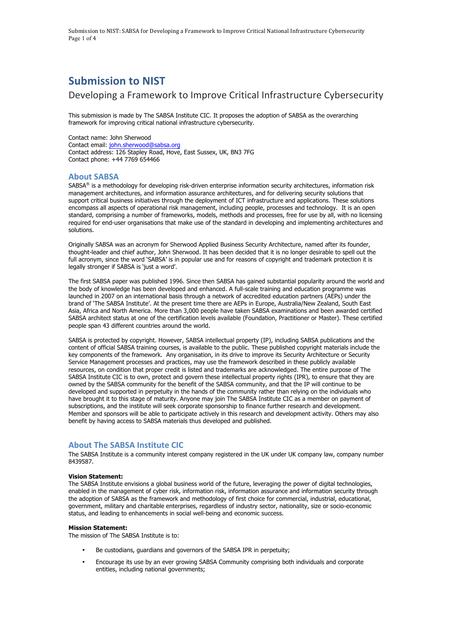Submission to NIST: SABSA for Developing a Framework to Improve Critical National Infrastructure Cybersecurity Page 1 of 4

# **Submission to NIST**

## Developing a Framework to Improve Critical Infrastructure Cybersecurity

 This submission is made by The SABSA Institute CIC. It proposes the adoption of SABSA as the overarching framework for improving critical national infrastructure cybersecurity.

 Contact name: John Sherwood Contact email: john.sherwood@sabsa.org Contact address: 126 Stapley Road, Hove, East Sussex, UK, BN3 7FG Contact phone: +44 7769 654466

## **About SABSA**

SABSA® is a methodology for developing risk-driven enterprise information security architectures, information risk management architectures, and information assurance architectures, and for delivering security solutions that support critical business initiatives through the deployment of ICT infrastructure and applications. These solutions encompass all aspects of operational risk management, including people, processes and technology. It is an open standard, comprising a number of frameworks, models, methods and processes, free for use by all, with no licensing required for end-user organisations that make use of the standard in developing and implementing architectures and solutions.

 Originally SABSA was an acronym for Sherwood Applied Business Security Architecture, named after its founder, thought-leader and chief author, John Sherwood. It has been decided that it is no longer desirable to spell out the full acronym, since the word 'SABSA' is in popular use and for reasons of copyright and trademark protection it is legally stronger if SABSA is 'just a word'.

 The first SABSA paper was published 1996. Since then SABSA has gained substantial popularity around the world and the body of knowledge has been developed and enhanced. A full-scale training and education programme was launched in 2007 on an international basis through a network of accredited education partners (AEPs) under the brand of 'The SABSA Institute'. At the present time there are AEPs in Europe, Australia/New Zealand, South East Asia, Africa and North America. More than 3,000 people have taken SABSA examinations and been awarded certified SABSA architect status at one of the certification levels available (Foundation, Practitioner or Master). These certified people span 43 different countries around the world.

 SABSA is protected by copyright. However, SABSA intellectual property (IP), including SABSA publications and the content of official SABSA training courses, is available to the public. These published copyright materials include the key components of the framework. Any organisation, in its drive to improve its Security Architecture or Security Service Management processes and practices, may use the framework described in these publicly available resources, on condition that proper credit is listed and trademarks are acknowledged. The entire purpose of The SABSA Institute CIC is to own, protect and govern these intellectual property rights (IPR), to ensure that they are owned by the SABSA community for the benefit of the SABSA community, and that the IP will continue to be developed and supported in perpetuity in the hands of the community rather than relying on the individuals who have brought it to this stage of maturity. Anyone may join The SABSA Institute CIC as a member on payment of subscriptions, and the institute will seek corporate sponsorship to finance further research and development. Member and sponsors will be able to participate actively in this research and development activity. Others may also benefit by having access to SABSA materials thus developed and published.

## **About The SABSA Institute CIC**

 The SABSA Institute is a community interest company registered in the UK under UK company law, company number 8439587.

## **Vision Statement:**

 The SABSA Institute envisions a global business world of the future, leveraging the power of digital technologies, enabled in the management of cyber risk, information risk, information assurance and information security through the adoption of SABSA as the framework and methodology of first choice for commercial, industrial, educational, government, military and charitable enterprises, regardless of industry sector, nationality, size or socio-economic status, and leading to enhancements in social well-being and economic success.

## **Mission Statement:**

The mission of The SABSA Institute is to:

- Be custodians, guardians and governors of the SABSA IPR in perpetuity;
- • Encourage its use by an ever growing SABSA Community comprising both individuals and corporate entities, including national governments;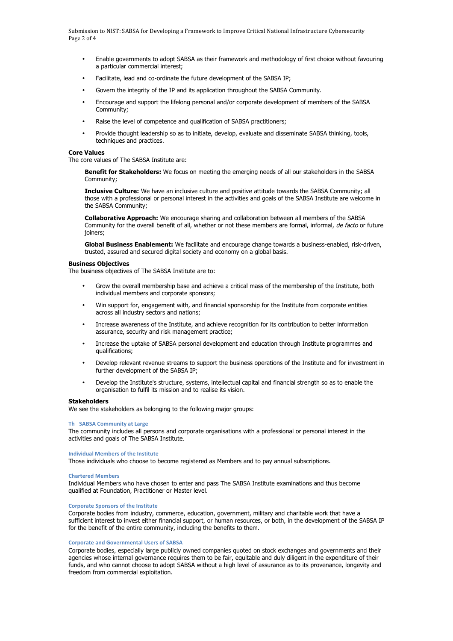Submission to NIST: SABSA for Developing a Framework to Improve Critical National Infrastructure Cybersecurity Page 2 of 4

- • Enable governments to adopt SABSA as their framework and methodology of first choice without favouring a particular commercial interest;
- Facilitate, lead and co-ordinate the future development of the SABSA IP;
- Govern the integrity of the IP and its application throughout the SABSA Community.
- • Encourage and support the lifelong personal and/or corporate development of members of the SABSA Community;
- Raise the level of competence and qualification of SABSA practitioners;
- • Provide thought leadership so as to initiate, develop, evaluate and disseminate SABSA thinking, tools, techniques and practices.

#### **Core Values**

The core values of The SABSA Institute are:

 **Benefit for Stakeholders:** We focus on meeting the emerging needs of all our stakeholders in the SABSA Community;

 **Inclusive Culture:** We have an inclusive culture and positive attitude towards the SABSA Community; all those with a professional or personal interest in the activities and goals of the SABSA Institute are welcome in the SABSA Community;

 **Collaborative Approach:** We encourage sharing and collaboration between all members of the SABSA Community for the overall benefit of all, whether or not these members are formal, informal, de facto or future joiners;

 **Global Business Enablement:** We facilitate and encourage change towards a business-enabled, risk-driven, trusted, assured and secured digital society and economy on a global basis.

## **Business Objectives**

The business objectives of The SABSA Institute are to:

- • Grow the overall membership base and achieve a critical mass of the membership of the Institute, both individual members and corporate sponsors;
- • Win support for, engagement with, and financial sponsorship for the Institute from corporate entities across all industry sectors and nations;
- • Increase awareness of the Institute, and achieve recognition for its contribution to better information assurance, security and risk management practice;
- • Increase the uptake of SABSA personal development and education through Institute programmes and qualifications;
- • Develop relevant revenue streams to support the business operations of the Institute and for investment in further development of the SABSA IP;
- • Develop the Institute's structure, systems, intellectual capital and financial strength so as to enable the organisation to fulfil its mission and to realise its vision.

#### **Stakeholders**

We see the stakeholders as belonging to the following major groups:

## **Th SABSA Community at Large**

 The community includes all persons and corporate organisations with a professional or personal interest in the activities and goals of The SABSA Institute.

## **Individual Members of the Institute**

Those individuals who choose to become registered as Members and to pay annual subscriptions.

#### **Chartered Members**

 Individual Members who have chosen to enter and pass The SABSA Institute examinations and thus become qualified at Foundation, Practitioner or Master level.

#### **Corporate Sponsors of the Institute**

 Corporate bodies from industry, commerce, education, government, military and charitable work that have a sufficient interest to invest either financial support, or human resources, or both, in the development of the SABSA IP for the benefit of the entire community, including the benefits to them.

#### **Corporate and Governmental Users of SABSA**

 Corporate bodies, especially large publicly owned companies quoted on stock exchanges and governments and their agencies whose internal governance requires them to be fair, equitable and duly diligent in the expenditure of their funds, and who cannot choose to adopt SABSA without a high level of assurance as to its provenance, longevity and freedom from commercial exploitation.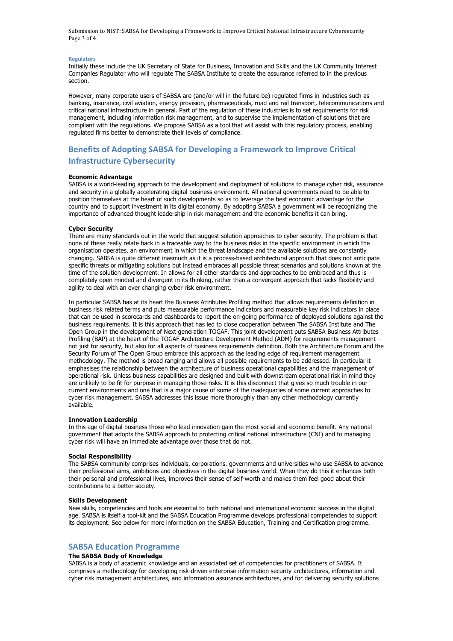Submission to NIST: SABSA for Developing a Framework to Improve Critical National Infrastructure Cybersecurity Page 3 of 4

#### **Regulators**

 Initially these include the UK Secretary of State for Business, Innovation and Skills and the UK Community Interest Companies Regulator who will regulate The SABSA Institute to create the assurance referred to in the previous section.

 However, many corporate users of SABSA are (and/or will in the future be) regulated firms in industries such as banking, insurance, civil aviation, energy provision, pharmaceuticals, road and rail transport, telecommunications and critical national infrastructure in general. Part of the regulation of these industries is to set requirements for risk management, including information risk management, and to supervise the implementation of solutions that are compliant with the regulations. We propose SABSA as a tool that will assist with this regulatory process, enabling regulated firms better to demonstrate their levels of compliance.

## **Benefits of Adopting SABSA for Developing a Framework to Improve Critical Infrastructure Cybersecurity**

#### **Economic Advantage**

 SABSA is a world-leading approach to the development and deployment of solutions to manage cyber risk, assurance and security in a globally accelerating digital business environment. All national governments need to be able to position themselves at the heart of such developments so as to leverage the best economic advantage for the country and to support investment in its digital economy. By adopting SABSA a government will be recognizing the importance of advanced thought leadership in risk management and the economic benefits it can bring.

#### **Cyber Security**

 There are many standards out in the world that suggest solution approaches to cyber security. The problem is that none of these really relate back in a traceable way to the business risks in the specific environment in which the changing. SABSA is quite different inasmuch as it is a process-based architectural approach that does not anticipate specific threats or mitigating solutions but instead embraces all possible threat scenarios and solutions known at the time of the solution development. In allows for all other standards and approaches to be embraced and thus is completely open minded and divergent in its thinking, rather than a convergent approach that lacks flexibility and agility to deal with an ever changing cyber risk environment. organisation operates, an environment in which the threat landscape and the available solutions are constantly

 In particular SABSA has at its heart the Business Attributes Profiling method that allows requirements definition in business risk related terms and puts measurable performance indicators and measurable key risk indicators in place that can be used in scorecards and dashboards to report the on-going performance of deployed solutions against the business requirements. It is this approach that has led to close cooperation between The SABSA Institute and The Open Group in the development of Next generation TOGAF. This joint development puts SABSA Business Attributes Profiling (BAP) at the heart of the TOGAF Architecture Development Method (ADM) for requirements management – not just for security, but also for all aspects of business requirements definition. Both the Architecture Forum and the methodology. The method is broad ranging and allows all possible requirements to be addressed. In particular it emphasises the relationship between the architecture of business operational capabilities and the management of operational risk. Unless business capabilities are designed and built with downstream operational risk in mind they are unlikely to be fit for purpose in managing those risks. It is this disconnect that gives so much trouble in our current environments and one that is a major cause of some of the inadequacies of some current approaches to cyber risk management. SABSA addresses this issue more thoroughly than any other methodology currently Security Forum of The Open Group embrace this approach as the leading edge of requirement management available.

#### **Innovation Leadership**

 In this age of digital business those who lead innovation gain the most social and economic benefit. Any national government that adopts the SABSA approach to protecting critical national infrastructure (CNI) and to managing cyber risk will have an immediate advantage over those that do not.

#### **Social Responsibility**

 The SABSA community comprises individuals, corporations, governments and universities who use SABSA to advance their professional aims, ambitions and objectives in the digital business world. When they do this it enhances both their personal and professional lives, improves their sense of self-worth and makes them feel good about their contributions to a better society.

#### **Skills Development**

 New skills, competencies and tools are essential to both national and international economic success in the digital age. SABSA is itself a tool-kit and the SABSA Education Programme develops professional competencies to support its deployment. See below for more information on the SABSA Education, Training and Certification programme.

## **SABSA Education Programme**

#### **The SABSA Body of Knowledge**

 SABSA is a body of academic knowledge and an associated set of competencies for practitioners of SABSA. It cyber risk management architectures, and information assurance architectures, and for delivering security solutions comprises a methodology for developing risk-driven enterprise information security architectures, information and